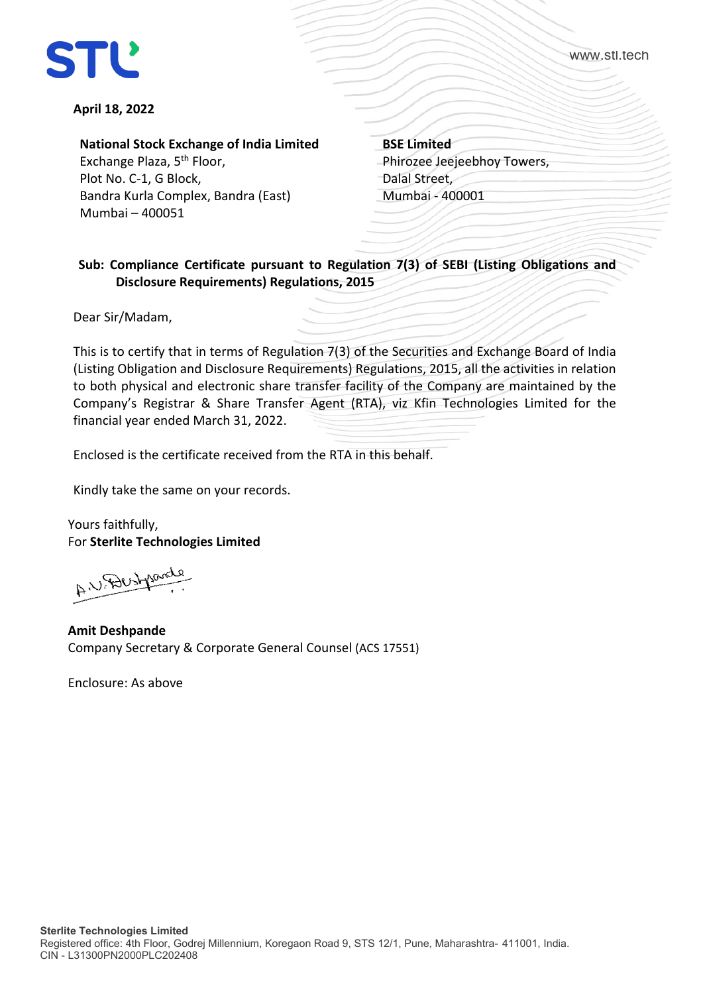



**April 18, 2022**

**National Stock Exchange of India Limited** Exchange Plaza, 5th Floor, Plot No. C-1, G Block, Bandra Kurla Complex, Bandra (East) Mumbai – 400051

**BSE Limited** Phirozee Jeejeebhoy Towers, Dalal Street, Mumbai - 400001

## **Sub: Compliance Certificate pursuant to Regulation 7(3) of SEBI (Listing Obligations and Disclosure Requirements) Regulations, 2015**

Dear Sir/Madam,

This is to certify that in terms of Regulation 7(3) of the Securities and Exchange Board of India (Listing Obligation and Disclosure Requirements) Regulations, 2015, all the activities in relation to both physical and electronic share transfer facility of the Company are maintained by the Company's Registrar & Share Transfer Agent (RTA), viz Kfin Technologies Limited for the financial year ended March 31, 2022.

Enclosed is the certificate received from the RTA in this behalf.

Kindly take the same on your records.

Yours faithfully, For **Sterlite Technologies Limited**

A U. Dustparely

**Amit Deshpande** Company Secretary & Corporate General Counsel (ACS 17551)

Enclosure: As above